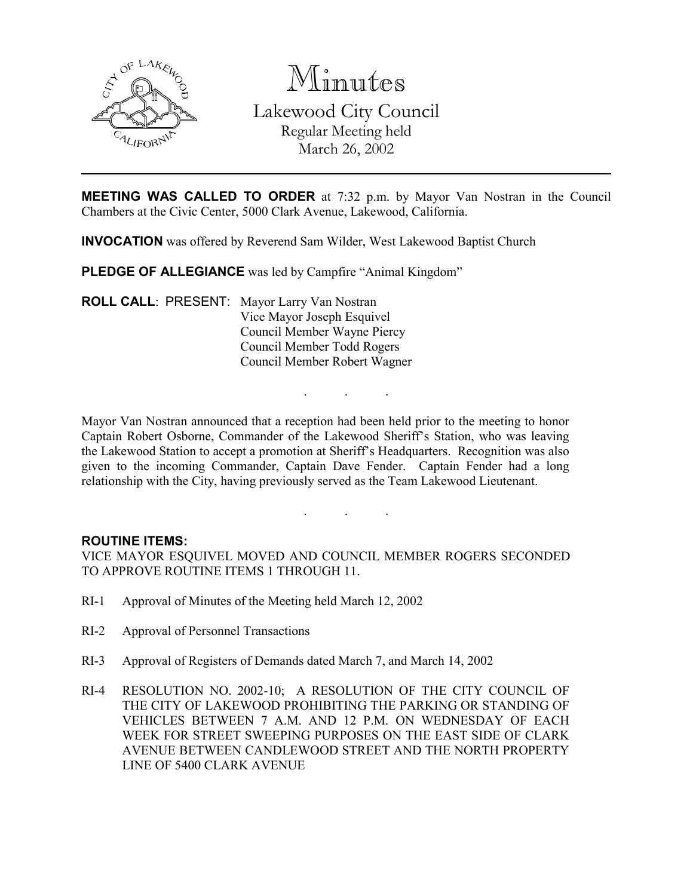

Minutes

Lakewood City Council Regular Meeting held March 26, 2002

**MEETING WAS CALLED TO ORDER** at 7:32 p.m. by Mayor Van Nostran in the Council Chambers at the Civic Center, 5000 Clark Avenue, Lakewood, California.

INVOCATION was offered by Reverend Sam Wilder, West Lakewood Baptist Church

PLEDGE OF ALLEGIANCE was led by Campfire "Animal Kingdom"

ROLL CALL: PRESENT: Mayor Larry Van Nostran Vice Mayor Joseph Esquivel Council Member Wayne Piercy Council Member Todd Rogers Council Member Robert Wagner

Mayor Van Nostran announced that a reception had been held prior to the meeting to honor Captain Robert Osborne, Commander of the Lakewood Sheriff's Station, who was leaving the Lakewood Station to accept a promotion at Sheriff's Headquarters. Recognition was also given to the incoming Commander, Captain Dave Fender. Captain Fender had a long relationship with the City, having previously served as the Team Lakewood Lieutenant.

. . .

. . .

### ROUTINE ITEMS:

VICE MAYOR ESQUIVEL MOVED AND COUNCIL MEMBER ROGERS SECONDED TO APPROVE ROUTINE ITEMS 1 THROUGH 11.

- RI-1 Approval of Minutes of the Meeting held March 12, 2002
- RI-2 Approval of Personnel Transactions
- RI-3 Approval of Registers of Demands dated March 7, and March 14, 2002
- RI-4 RESOLUTION NO. 2002-10; A RESOLUTION OF THE CITY COUNCIL OF THE CITY OF LAKEWOOD PROHIBITING THE PARKING OR STANDING OF VEHICLES BETWEEN 7 A.M. AND 12 P.M. ON WEDNESDAY OF EACH WEEK FOR STREET SWEEPING PURPOSES ON THE EAST SIDE OF CLARK AVENUE BETWEEN CANDLEWOOD STREET AND THE NORTH PROPERTY LINE OF 5400 CLARK AVENUE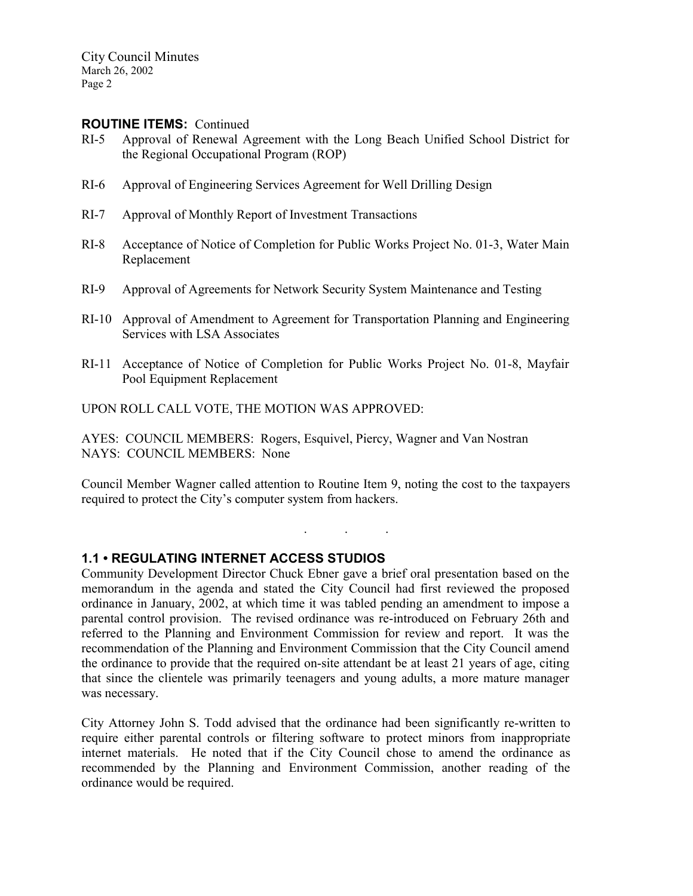### ROUTINE ITEMS: Continued

- RI-5 Approval of Renewal Agreement with the Long Beach Unified School District for the Regional Occupational Program (ROP)
- RI-6 Approval of Engineering Services Agreement for Well Drilling Design
- RI-7 Approval of Monthly Report of Investment Transactions
- RI-8 Acceptance of Notice of Completion for Public Works Project No. 01-3, Water Main Replacement
- RI-9 Approval of Agreements for Network Security System Maintenance and Testing
- RI-10 Approval of Amendment to Agreement for Transportation Planning and Engineering Services with LSA Associates
- RI-11 Acceptance of Notice of Completion for Public Works Project No. 01-8, Mayfair Pool Equipment Replacement

UPON ROLL CALL VOTE, THE MOTION WAS APPROVED:

AYES: COUNCIL MEMBERS: Rogers, Esquivel, Piercy, Wagner and Van Nostran NAYS: COUNCIL MEMBERS: None

Council Member Wagner called attention to Routine Item 9, noting the cost to the taxpayers required to protect the City's computer system from hackers.

. . .

### 1.1 • REGULATING INTERNET ACCESS STUDIOS

Community Development Director Chuck Ebner gave a brief oral presentation based on the memorandum in the agenda and stated the City Council had first reviewed the proposed ordinance in January, 2002, at which time it was tabled pending an amendment to impose a parental control provision. The revised ordinance was re-introduced on February 26th and referred to the Planning and Environment Commission for review and report. It was the recommendation of the Planning and Environment Commission that the City Council amend the ordinance to provide that the required on-site attendant be at least 21 years of age, citing that since the clientele was primarily teenagers and young adults, a more mature manager was necessary.

City Attorney John S. Todd advised that the ordinance had been significantly re-written to require either parental controls or filtering software to protect minors from inappropriate internet materials. He noted that if the City Council chose to amend the ordinance as recommended by the Planning and Environment Commission, another reading of the ordinance would be required.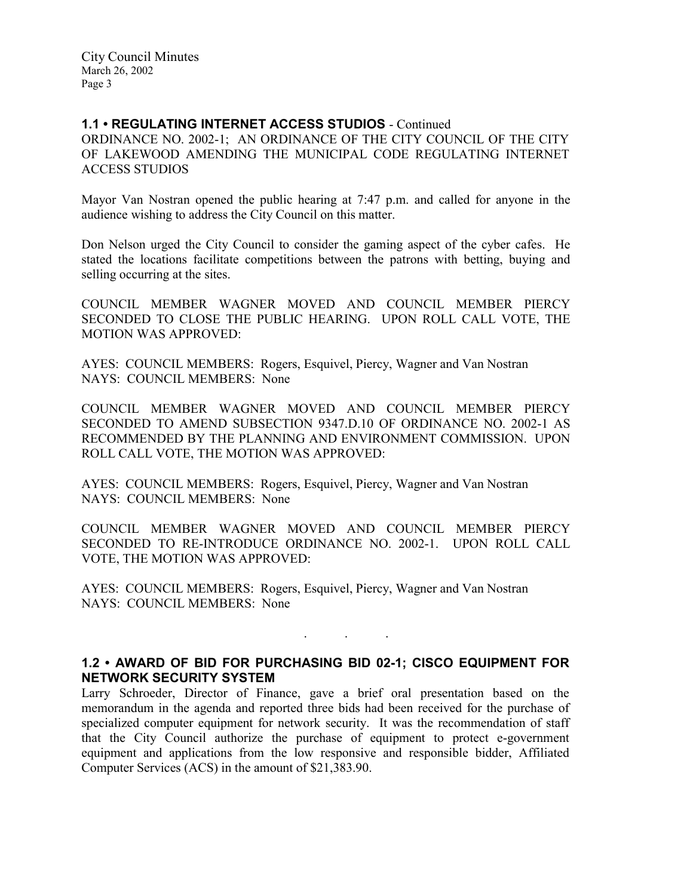# 1.1 • REGULATING INTERNET ACCESS STUDIOS - Continued

ORDINANCE NO. 2002-1; AN ORDINANCE OF THE CITY COUNCIL OF THE CITY OF LAKEWOOD AMENDING THE MUNICIPAL CODE REGULATING INTERNET ACCESS STUDIOS

Mayor Van Nostran opened the public hearing at 7:47 p.m. and called for anyone in the audience wishing to address the City Council on this matter.

Don Nelson urged the City Council to consider the gaming aspect of the cyber cafes. He stated the locations facilitate competitions between the patrons with betting, buying and selling occurring at the sites.

COUNCIL MEMBER WAGNER MOVED AND COUNCIL MEMBER PIERCY SECONDED TO CLOSE THE PUBLIC HEARING. UPON ROLL CALL VOTE, THE MOTION WAS APPROVED:

AYES: COUNCIL MEMBERS: Rogers, Esquivel, Piercy, Wagner and Van Nostran NAYS: COUNCIL MEMBERS: None

COUNCIL MEMBER WAGNER MOVED AND COUNCIL MEMBER PIERCY SECONDED TO AMEND SUBSECTION 9347.D.10 OF ORDINANCE NO. 2002-1 AS RECOMMENDED BY THE PLANNING AND ENVIRONMENT COMMISSION. UPON ROLL CALL VOTE, THE MOTION WAS APPROVED:

AYES: COUNCIL MEMBERS: Rogers, Esquivel, Piercy, Wagner and Van Nostran NAYS: COUNCIL MEMBERS: None

COUNCIL MEMBER WAGNER MOVED AND COUNCIL MEMBER PIERCY SECONDED TO RE-INTRODUCE ORDINANCE NO. 2002-1. UPON ROLL CALL VOTE, THE MOTION WAS APPROVED:

AYES: COUNCIL MEMBERS: Rogers, Esquivel, Piercy, Wagner and Van Nostran NAYS: COUNCIL MEMBERS: None

### 1.2 • AWARD OF BID FOR PURCHASING BID 02-1; CISCO EQUIPMENT FOR NETWORK SECURITY SYSTEM

. . .

Larry Schroeder, Director of Finance, gave a brief oral presentation based on the memorandum in the agenda and reported three bids had been received for the purchase of specialized computer equipment for network security. It was the recommendation of staff that the City Council authorize the purchase of equipment to protect e-government equipment and applications from the low responsive and responsible bidder, Affiliated Computer Services (ACS) in the amount of \$21,383.90.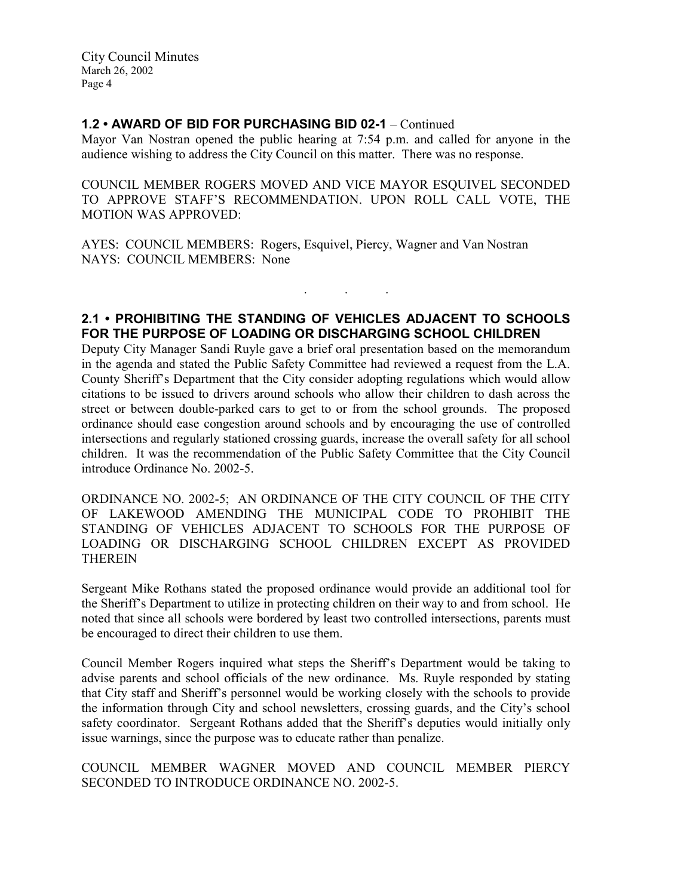# 1.2 • AWARD OF BID FOR PURCHASING BID 02-1 – Continued

Mayor Van Nostran opened the public hearing at 7:54 p.m. and called for anyone in the audience wishing to address the City Council on this matter. There was no response.

COUNCIL MEMBER ROGERS MOVED AND VICE MAYOR ESQUIVEL SECONDED TO APPROVE STAFF'S RECOMMENDATION. UPON ROLL CALL VOTE, THE MOTION WAS APPROVED:

AYES: COUNCIL MEMBERS: Rogers, Esquivel, Piercy, Wagner and Van Nostran NAYS: COUNCIL MEMBERS: None

# 2.1 • PROHIBITING THE STANDING OF VEHICLES ADJACENT TO SCHOOLS FOR THE PURPOSE OF LOADING OR DISCHARGING SCHOOL CHILDREN

. . .

Deputy City Manager Sandi Ruyle gave a brief oral presentation based on the memorandum in the agenda and stated the Public Safety Committee had reviewed a request from the L.A. County Sheriff's Department that the City consider adopting regulations which would allow citations to be issued to drivers around schools who allow their children to dash across the street or between double-parked cars to get to or from the school grounds. The proposed ordinance should ease congestion around schools and by encouraging the use of controlled intersections and regularly stationed crossing guards, increase the overall safety for all school children. It was the recommendation of the Public Safety Committee that the City Council introduce Ordinance No. 2002-5.

ORDINANCE NO. 2002-5; AN ORDINANCE OF THE CITY COUNCIL OF THE CITY OF LAKEWOOD AMENDING THE MUNICIPAL CODE TO PROHIBIT THE STANDING OF VEHICLES ADJACENT TO SCHOOLS FOR THE PURPOSE OF LOADING OR DISCHARGING SCHOOL CHILDREN EXCEPT AS PROVIDED **THEREIN** 

Sergeant Mike Rothans stated the proposed ordinance would provide an additional tool for the Sheriff's Department to utilize in protecting children on their way to and from school. He noted that since all schools were bordered by least two controlled intersections, parents must be encouraged to direct their children to use them.

Council Member Rogers inquired what steps the Sheriff's Department would be taking to advise parents and school officials of the new ordinance. Ms. Ruyle responded by stating that City staff and Sheriff's personnel would be working closely with the schools to provide the information through City and school newsletters, crossing guards, and the City's school safety coordinator. Sergeant Rothans added that the Sheriff's deputies would initially only issue warnings, since the purpose was to educate rather than penalize.

# COUNCIL MEMBER WAGNER MOVED AND COUNCIL MEMBER PIERCY SECONDED TO INTRODUCE ORDINANCE NO. 2002-5.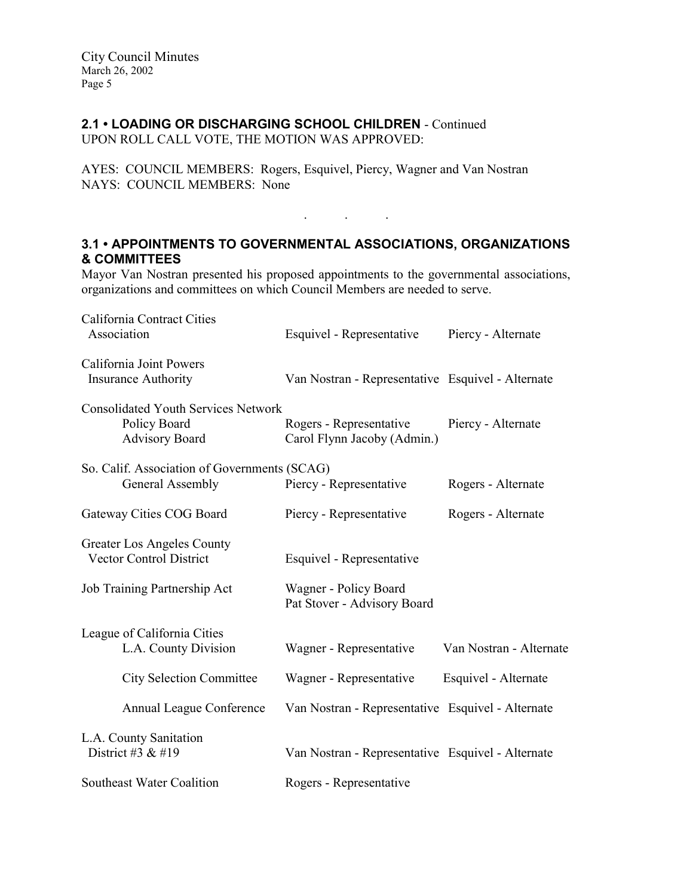# 2.1 • LOADING OR DISCHARGING SCHOOL CHILDREN - Continued

UPON ROLL CALL VOTE, THE MOTION WAS APPROVED:

AYES: COUNCIL MEMBERS: Rogers, Esquivel, Piercy, Wagner and Van Nostran NAYS: COUNCIL MEMBERS: None

# 3.1 • APPOINTMENTS TO GOVERNMENTAL ASSOCIATIONS, ORGANIZATIONS & COMMITTEES

 $\mathbf{r}$  .  $\mathbf{r}$  ,  $\mathbf{r}$  ,  $\mathbf{r}$  ,  $\mathbf{r}$  ,  $\mathbf{r}$  ,  $\mathbf{r}$ 

Mayor Van Nostran presented his proposed appointments to the governmental associations, organizations and committees on which Council Members are needed to serve.

| California Contract Cities<br>Association                                           | Esquivel - Representative                              | Piercy - Alternate      |
|-------------------------------------------------------------------------------------|--------------------------------------------------------|-------------------------|
| California Joint Powers<br><b>Insurance Authority</b>                               | Van Nostran - Representative Esquivel - Alternate      |                         |
| <b>Consolidated Youth Services Network</b><br>Policy Board<br><b>Advisory Board</b> | Rogers - Representative<br>Carol Flynn Jacoby (Admin.) | Piercy - Alternate      |
| So. Calif. Association of Governments (SCAG)<br>General Assembly                    | Piercy - Representative                                | Rogers - Alternate      |
| Gateway Cities COG Board                                                            | Piercy - Representative                                | Rogers - Alternate      |
| Greater Los Angeles County<br><b>Vector Control District</b>                        | Esquivel - Representative                              |                         |
| Job Training Partnership Act                                                        | Wagner - Policy Board<br>Pat Stover - Advisory Board   |                         |
| League of California Cities<br>L.A. County Division                                 | Wagner - Representative                                | Van Nostran - Alternate |
| <b>City Selection Committee</b>                                                     | Wagner - Representative                                | Esquivel - Alternate    |
| Annual League Conference                                                            | Van Nostran - Representative Esquivel - Alternate      |                         |
| L.A. County Sanitation<br>District #3 $&$ #19                                       | Van Nostran - Representative Esquivel - Alternate      |                         |
| <b>Southeast Water Coalition</b>                                                    | Rogers - Representative                                |                         |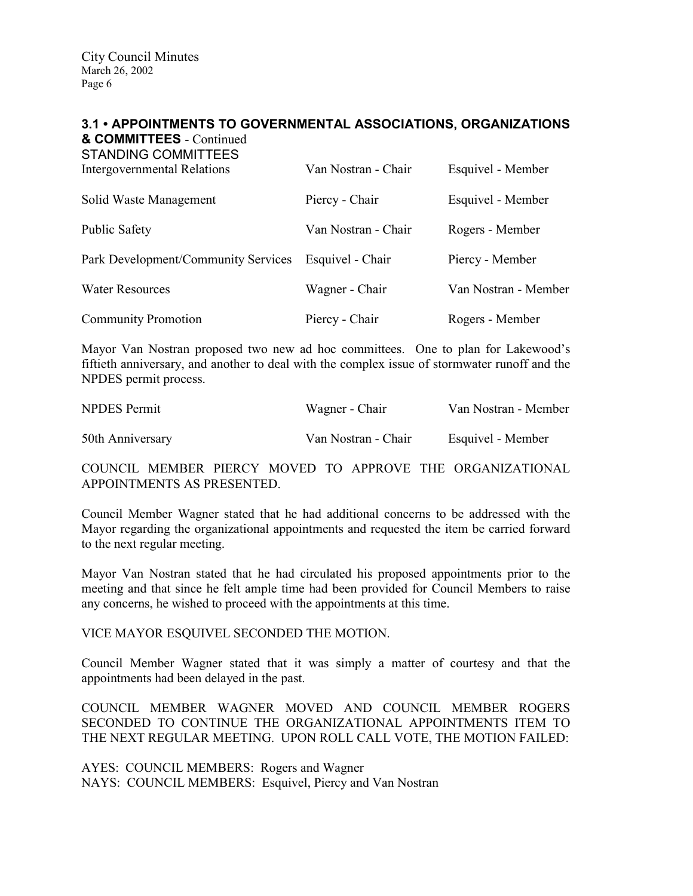### 3.1 • APPOINTMENTS TO GOVERNMENTAL ASSOCIATIONS, ORGANIZATIONS & COMMITTEES - Continued

STANDING COMMITTEES

| Intergovernmental Relations         | Van Nostran - Chair | Esquivel - Member    |
|-------------------------------------|---------------------|----------------------|
| Solid Waste Management              | Piercy - Chair      | Esquivel - Member    |
| <b>Public Safety</b>                | Van Nostran - Chair | Rogers - Member      |
| Park Development/Community Services | Esquivel - Chair    | Piercy - Member      |
| <b>Water Resources</b>              | Wagner - Chair      | Van Nostran - Member |
| <b>Community Promotion</b>          | Piercy - Chair      | Rogers - Member      |

Mayor Van Nostran proposed two new ad hoc committees. One to plan for Lakewood's fiftieth anniversary, and another to deal with the complex issue of stormwater runoff and the NPDES permit process.

| <b>NPDES</b> Permit | Wagner - Chair      | Van Nostran - Member |
|---------------------|---------------------|----------------------|
| 50th Anniversary    | Van Nostran - Chair | Esquivel - Member    |

COUNCIL MEMBER PIERCY MOVED TO APPROVE THE ORGANIZATIONAL APPOINTMENTS AS PRESENTED.

Council Member Wagner stated that he had additional concerns to be addressed with the Mayor regarding the organizational appointments and requested the item be carried forward to the next regular meeting.

Mayor Van Nostran stated that he had circulated his proposed appointments prior to the meeting and that since he felt ample time had been provided for Council Members to raise any concerns, he wished to proceed with the appointments at this time.

VICE MAYOR ESQUIVEL SECONDED THE MOTION.

Council Member Wagner stated that it was simply a matter of courtesy and that the appointments had been delayed in the past.

COUNCIL MEMBER WAGNER MOVED AND COUNCIL MEMBER ROGERS SECONDED TO CONTINUE THE ORGANIZATIONAL APPOINTMENTS ITEM TO THE NEXT REGULAR MEETING. UPON ROLL CALL VOTE, THE MOTION FAILED:

AYES: COUNCIL MEMBERS: Rogers and Wagner NAYS: COUNCIL MEMBERS: Esquivel, Piercy and Van Nostran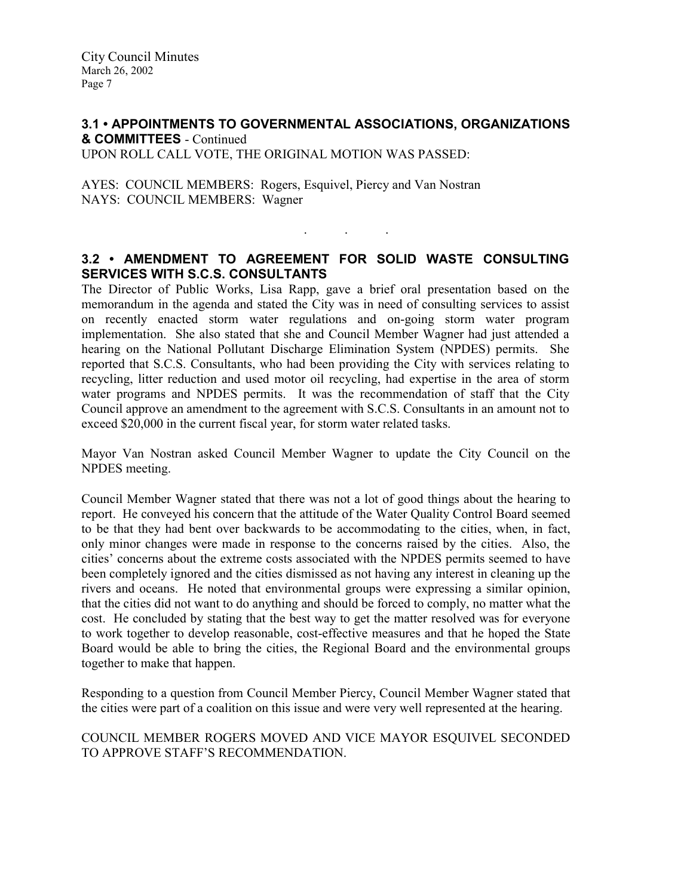### 3.1 • APPOINTMENTS TO GOVERNMENTAL ASSOCIATIONS, ORGANIZATIONS & COMMITTEES - Continued UPON ROLL CALL VOTE, THE ORIGINAL MOTION WAS PASSED:

AYES: COUNCIL MEMBERS: Rogers, Esquivel, Piercy and Van Nostran NAYS: COUNCIL MEMBERS: Wagner

### 3.2 • AMENDMENT TO AGREEMENT FOR SOLID WASTE CONSULTING SERVICES WITH S.C.S. CONSULTANTS

. . .

The Director of Public Works, Lisa Rapp, gave a brief oral presentation based on the memorandum in the agenda and stated the City was in need of consulting services to assist on recently enacted storm water regulations and on-going storm water program implementation. She also stated that she and Council Member Wagner had just attended a hearing on the National Pollutant Discharge Elimination System (NPDES) permits. She reported that S.C.S. Consultants, who had been providing the City with services relating to recycling, litter reduction and used motor oil recycling, had expertise in the area of storm water programs and NPDES permits. It was the recommendation of staff that the City Council approve an amendment to the agreement with S.C.S. Consultants in an amount not to exceed \$20,000 in the current fiscal year, for storm water related tasks.

Mayor Van Nostran asked Council Member Wagner to update the City Council on the NPDES meeting.

Council Member Wagner stated that there was not a lot of good things about the hearing to report. He conveyed his concern that the attitude of the Water Quality Control Board seemed to be that they had bent over backwards to be accommodating to the cities, when, in fact, only minor changes were made in response to the concerns raised by the cities. Also, the cities' concerns about the extreme costs associated with the NPDES permits seemed to have been completely ignored and the cities dismissed as not having any interest in cleaning up the rivers and oceans. He noted that environmental groups were expressing a similar opinion, that the cities did not want to do anything and should be forced to comply, no matter what the cost. He concluded by stating that the best way to get the matter resolved was for everyone to work together to develop reasonable, cost-effective measures and that he hoped the State Board would be able to bring the cities, the Regional Board and the environmental groups together to make that happen.

Responding to a question from Council Member Piercy, Council Member Wagner stated that the cities were part of a coalition on this issue and were very well represented at the hearing.

COUNCIL MEMBER ROGERS MOVED AND VICE MAYOR ESQUIVEL SECONDED TO APPROVE STAFF'S RECOMMENDATION.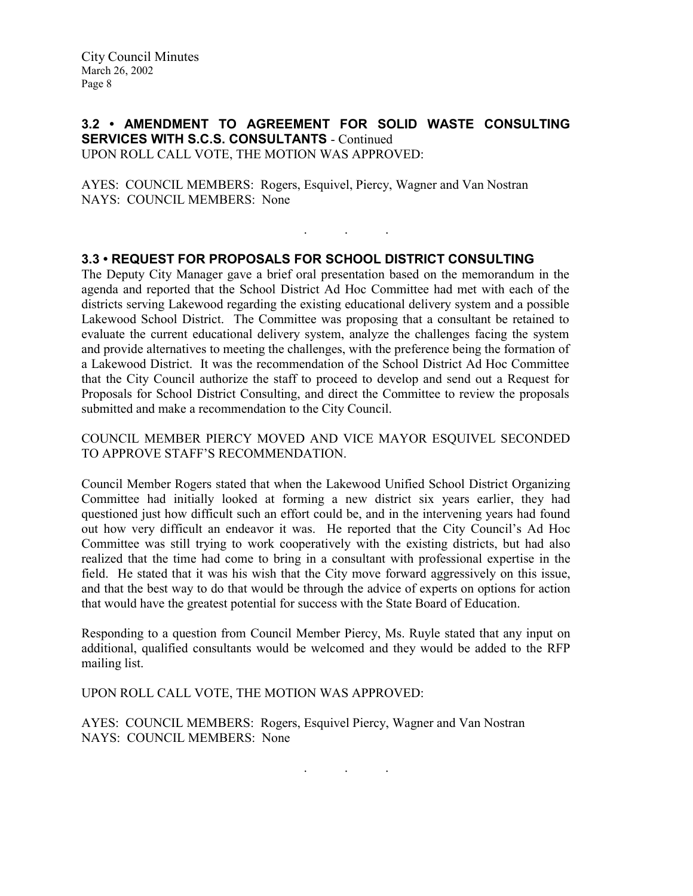### 3.2 • AMENDMENT TO AGREEMENT FOR SOLID WASTE CONSULTING SERVICES WITH S.C.S. CONSULTANTS - Continued UPON ROLL CALL VOTE, THE MOTION WAS APPROVED:

. . .

AYES: COUNCIL MEMBERS: Rogers, Esquivel, Piercy, Wagner and Van Nostran NAYS: COUNCIL MEMBERS: None

### 3.3 • REQUEST FOR PROPOSALS FOR SCHOOL DISTRICT CONSULTING

The Deputy City Manager gave a brief oral presentation based on the memorandum in the agenda and reported that the School District Ad Hoc Committee had met with each of the districts serving Lakewood regarding the existing educational delivery system and a possible Lakewood School District. The Committee was proposing that a consultant be retained to evaluate the current educational delivery system, analyze the challenges facing the system and provide alternatives to meeting the challenges, with the preference being the formation of a Lakewood District. It was the recommendation of the School District Ad Hoc Committee that the City Council authorize the staff to proceed to develop and send out a Request for Proposals for School District Consulting, and direct the Committee to review the proposals submitted and make a recommendation to the City Council.

COUNCIL MEMBER PIERCY MOVED AND VICE MAYOR ESQUIVEL SECONDED TO APPROVE STAFF'S RECOMMENDATION.

Council Member Rogers stated that when the Lakewood Unified School District Organizing Committee had initially looked at forming a new district six years earlier, they had questioned just how difficult such an effort could be, and in the intervening years had found out how very difficult an endeavor it was. He reported that the City Council's Ad Hoc Committee was still trying to work cooperatively with the existing districts, but had also realized that the time had come to bring in a consultant with professional expertise in the field. He stated that it was his wish that the City move forward aggressively on this issue, and that the best way to do that would be through the advice of experts on options for action that would have the greatest potential for success with the State Board of Education.

Responding to a question from Council Member Piercy, Ms. Ruyle stated that any input on additional, qualified consultants would be welcomed and they would be added to the RFP mailing list.

UPON ROLL CALL VOTE, THE MOTION WAS APPROVED:

AYES: COUNCIL MEMBERS: Rogers, Esquivel Piercy, Wagner and Van Nostran NAYS: COUNCIL MEMBERS: None

. . .